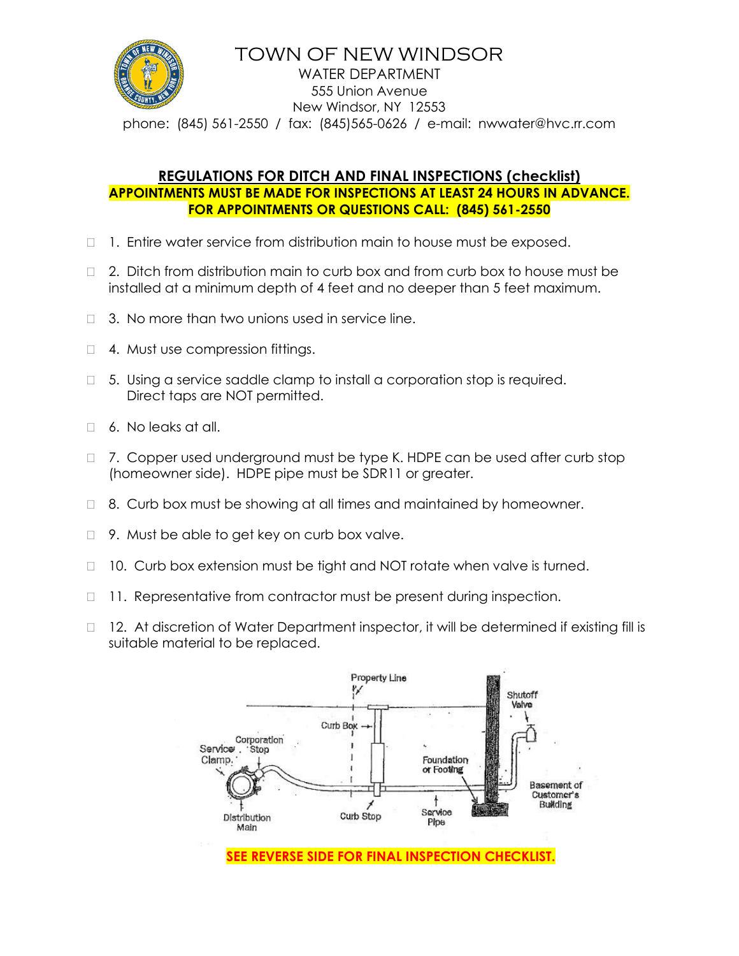

### TOWN OF NEW WINDSOR WATER DEPARTMENT 555 Union Avenue New Windsor, NY 12553 phone: (845) 561-2550 / fax: (845)565-0626 / e-mail: nwwater@hvc.rr.com

### **REGULATIONS FOR DITCH AND FINAL INSPECTIONS (checklist) APPOINTMENTS MUST BE MADE FOR INSPECTIONS AT LEAST 24 HOURS IN ADVANCE. FOR APPOINTMENTS OR QUESTIONS CALL: (845) 561-2550**

- $\Box$  1. Entire water service from distribution main to house must be exposed.
- □ 2. Ditch from distribution main to curb box and from curb box to house must be installed at a minimum depth of 4 feet and no deeper than 5 feet maximum.
- $\Box$  3. No more than two unions used in service line.
- □ 4. Must use compression fittings.
- $\Box$  5. Using a service saddle clamp to install a corporation stop is required. Direct taps are NOT permitted.
- □ 6. No leaks at all.
- □ 7. Copper used underground must be type K. HDPE can be used after curb stop (homeowner side). HDPE pipe must be SDR11 or greater.
- $\Box$  8. Curb box must be showing at all times and maintained by homeowner.
- $\Box$  9. Must be able to get key on curb box valve.
- □ 10. Curb box extension must be tight and NOT rotate when valve is turned.
- □ 11. Representative from contractor must be present during inspection.
- $\Box$  12. At discretion of Water Department inspector, it will be determined if existing fill is suitable material to be replaced.